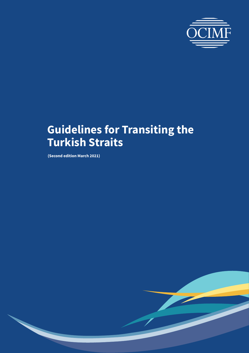

**(Second edition March 2021)**

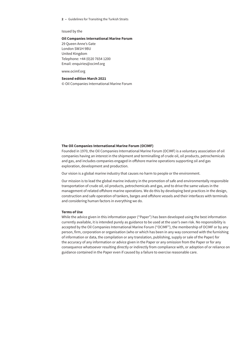Issued by the

#### **Oil Companies International Marine Forum**

29 Queen Anne's Gate London SW1H 9BU United Kingdom Telephone: +44 (0)20 7654 1200 Email: [enquiries@ocimf.org](mailto:enquiries@ocimf.org)

[www.ocimf.org](http://www.ocimf.org)

#### **Second edition March 2021**

© Oil Companies International Marine Forum

#### **The Oil Companies International Marine Forum (OCIMF)**

Founded in 1970, the Oil Companies International Marine Forum (OCIMF) is a voluntary association of oil companies having an interest in the shipment and terminalling of crude oil, oil products, petrochemicals and gas, and includes companies engaged in offshore marine operations supporting oil and gas exploration, development and production.

Our vision is a global marine industry that causes no harm to people or the environment.

Our mission is to lead the global marine industry in the promotion of safe and environmentally responsible transportation of crude oil, oil products, petrochemicals and gas, and to drive the same values in the management of related offshore marine operations. We do this by developing best practices in the design, construction and safe operation of tankers, barges and offshore vessels and their interfaces with terminals and considering human factors in everything we do.

#### **Terms of Use**

While the advice given in this information paper ("Paper") has been developed using the best information currently available, it is intended purely as guidance to be used at the user's own risk. No responsibility is accepted by the Oil Companies International Marine Forum ("OCIMF"), the membership of OCIMF or by any person, firm, corporation or organisation (who or which has been in any way concerned with the furnishing of information or data, the compilation or any translation, publishing, supply or sale of the Paper) for the accuracy of any information or advice given in the Paper or any omission from the Paper or for any consequence whatsoever resulting directly or indirectly from compliance with, or adoption of or reliance on guidance contained in the Paper even if caused by a failure to exercise reasonable care.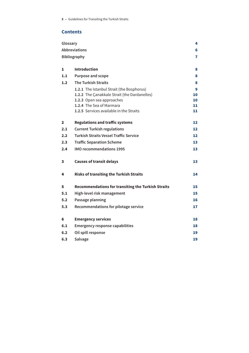# **Contents**

| Glossary             |                                                           | 4  |
|----------------------|-----------------------------------------------------------|----|
| <b>Abbreviations</b> |                                                           | 6  |
| <b>Bibliography</b>  |                                                           |    |
|                      |                                                           |    |
| 1                    | <b>Introduction</b>                                       | 8  |
| 1.1                  | <b>Purpose and scope</b>                                  | 8  |
| 1.2                  | <b>The Turkish Straits</b>                                | 8  |
|                      | 1.2.1 The Istanbul Strait (the Bosphorus)                 | 9  |
|                      | 1.2.2 The Çanakkale Strait (the Dardanelles)              | 10 |
|                      | 1.2.3 Open sea approaches                                 | 10 |
|                      | 1.2.4 The Sea of Marmara                                  | 11 |
|                      | 1.2.5 Services available in the Straits                   | 11 |
| $\mathbf{2}$         | <b>Regulations and traffic systems</b>                    | 12 |
| 2.1                  | <b>Current Turkish regulations</b>                        | 12 |
| 2.2                  | <b>Turkish Straits Vessel Traffic Service</b>             | 12 |
| 2.3                  | <b>Traffic Separation Scheme</b>                          | 13 |
| 2.4                  | <b>IMO recommendations 1995</b>                           | 13 |
| 3                    | <b>Causes of transit delays</b>                           | 13 |
| 4                    | <b>Risks of transiting the Turkish Straits</b>            | 14 |
| 5                    | <b>Recommendations for transiting the Turkish Straits</b> | 15 |
| 5.1                  | High-level risk management                                | 15 |
| 5.2                  | Passage planning                                          | 16 |
| 5.3                  | Recommendations for pilotage service                      | 17 |
| 6                    | <b>Emergency services</b>                                 | 18 |
| 6.1                  |                                                           | 18 |
|                      | <b>Emergency response capabilities</b>                    |    |
| 6.2                  | Oil spill response                                        | 19 |
| 6.3                  | Salvage                                                   | 19 |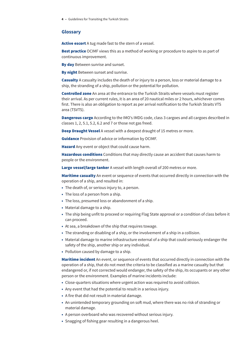#### <span id="page-3-0"></span>**Glossary**

Active escort A tug made fast to the stern of a vessel.

**Best practice** OCIMF views this as a method of working or procedure to aspire to as part of continuous improvement.

By day Between sunrise and sunset.

**By night** Between sunset and sunrise.

Casualty A casualty includes the death of or injury to a person, loss or material damage to a ship, the stranding of a ship, pollution or the potential for pollution.

Controlled zone An area at the entrance to the Turkish Straits where vessels must register their arrival. As per current rules, it is an area of 20 nautical miles or 2 hours, whichever comes first. There is also an obligation to report as per arrival notification to the Turkish Straits VTS area (TSVTS).

**Dangerous cargo** According to the IMO's IMDG code, class 3 cargoes and all cargoes described in classes 1, 2, 5.1, 5.2, 6.2 and 7 or those not gas freed.

Deep Draught Vessel A vessel with a deepest draught of 15 metres or more.

**Guidance** Provision of advice or information by OCIMF.

Hazard Any event or object that could cause harm.

Hazardous conditions Conditions that may directly cause an accident that causes harm to people or the environment.

Large vessel/large tanker A vessel with length overall of 200 metres or more.

Maritime casualty An event or sequence of events that occurred directly in connection with the operation of a ship, and resulted in:

- The death of, or serious injury to, a person.
- The loss of a person from a ship.
- The loss, presumed loss or abandonment of a ship.
- Material damage to a ship.
- The ship being unfit to proceed or requiring Flag State approval or a condition of class before it can proceed.
- At sea, a breakdown of the ship that requires towage.
- The stranding or disabling of a ship, or the involvement of a ship in a collision.
- Material damage to marine infrastructure external of a ship that could seriously endanger the safety of the ship, another ship or any individual.
- Pollution caused by damage to a ship.

Maritime incident An event, or sequence of events that occurred directly in connection with the operation of a ship, that do not meet the criteria to be classified as a marine casualty but that endangered or, if not corrected would endanger, the safety of the ship, its occupants or any other person or the environment. Examples of marine incidents include:

- Close-quarters situations where urgent action was required to avoid collision.
- Any event that had the potential to result in a serious injury.
- A fire that did not result in material damage.
- An unintended temporary grounding on soft mud, where there was no risk of stranding or material damage.
- A person overboard who was recovered without serious injury.
- Snagging of fishing gear resulting in a dangerous heel.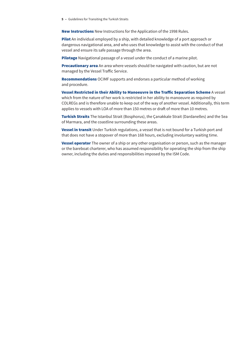New Instructions New Instructions for the Application of the 1998 Rules.

Pilot An individual employed by a ship, with detailed knowledge of a port approach or dangerous navigational area, and who uses that knowledge to assist with the conduct of that vessel and ensure its safe passage through the area.

Pilotage Navigational passage of a vessel under the conduct of a marine pilot.

**Precautionary area** An area where vessels should be navigated with caution, but are not managed by the Vessel Traffic Service.

Recommendations OCIMF supports and endorses a particular method of working and procedure.

Vessel Restricted in their Ability to Manoeuvre in the Traffic Separation Scheme A vessel which from the nature of her work is restricted in her ability to manoeuvre as required by COLREGs and is therefore unable to keep out of the way of another vessel. Additionally, this term applies to vessels with LOA of more than 150 metres or draft of more than 10 metres.

Turkish Straits The Istanbul Strait (Bosphorus), the Canakkale Strait (Dardanelles) and the Sea of Marmara, and the coastline surrounding these areas.

Vessel in transit Under Turkish regulations, a vessel that is not bound for a Turkish port and that does not have a stopover of more than 168 hours, excluding involuntary waiting time.

**Vessel operator** The owner of a ship or any other organisation or person, such as the manager or the bareboat charterer, who has assumed responsibility for operating the ship from the ship owner, including the duties and responsibilities imposed by the ISM Code.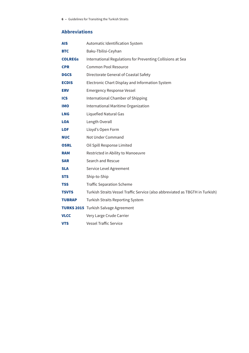# <span id="page-5-0"></span>**Abbreviations**

| <b>AIS</b>     | Automatic Identification System                                               |  |
|----------------|-------------------------------------------------------------------------------|--|
| <b>BTC</b>     | Baku-Tbilisi-Ceyhan                                                           |  |
| <b>COLREGS</b> | International Regulations for Preventing Collisions at Sea                    |  |
| <b>CPR</b>     | Common Pool Resource                                                          |  |
| <b>DGCS</b>    | Directorate General of Coastal Safety                                         |  |
| <b>ECDIS</b>   | Electronic Chart Display and Information System                               |  |
| <b>ERV</b>     | <b>Emergency Response Vessel</b>                                              |  |
| <b>ICS</b>     | International Chamber of Shipping                                             |  |
| <b>IMO</b>     | International Maritime Organization                                           |  |
| <b>LNG</b>     | <b>Liquefied Natural Gas</b>                                                  |  |
| <b>LOA</b>     | Length Overall                                                                |  |
| <b>LOF</b>     | Lloyd's Open Form                                                             |  |
| <b>NUC</b>     | Not Under Command                                                             |  |
| <b>OSRL</b>    | Oil Spill Response Limited                                                    |  |
| <b>RAM</b>     | Restricted in Ability to Manoeuvre                                            |  |
| <b>SAR</b>     | Search and Rescue                                                             |  |
| <b>SLA</b>     | Service Level Agreement                                                       |  |
| <b>STS</b>     | Ship-to-Ship                                                                  |  |
| <b>TSS</b>     | <b>Traffic Separation Scheme</b>                                              |  |
| <b>TSVTS</b>   | Turkish Straits Vessel Traffic Service (also abbreviated as TBGTH in Turkish) |  |
| <b>TUBRAP</b>  | <b>Turkish Straits Reporting System</b>                                       |  |
|                | <b>TURKS 2015</b> Turkish Salvage Agreement                                   |  |
| <b>VLCC</b>    | Very Large Crude Carrier                                                      |  |
| <b>VTS</b>     | <b>Vessel Traffic Service</b>                                                 |  |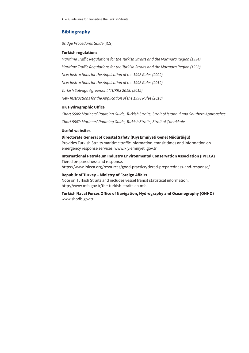### <span id="page-6-0"></span>**Bibliography**

*Bridge Procedures Guide* (ICS)

#### **Turkish regulations**

*Maritime Traffic Regulations for the Turkish Straits and the Marmara Region (1994) Maritime Traffic Regulations for the Turkish Straits and the Marmara Region (1998) New Instructions for the Application of the 1998 Rules (2002) New Instructions for the Application of the 1998 Rules (2012) Turkish Salvage Agreement (TURKS 2015) (2015) New Instructions for the Application of the 1998 Rules (2018)*

#### **UK Hydrographic Office**

*Chart 5506: Mariners' Routeing Guide, Turkish Straits, Strait of Istanbul and Southern Approaches*

*Chart 5507: Mariners' Routeing Guide, Turkish Straits, Strait of Çanakkale*

#### **Useful websites**

#### **Directorate General of Coastal Safety (Kıyı Emniyeti Genel Müdürlüğü)**

Provides Turkish Straits maritime traffic information, transit times and information on emergency response services. [www.kiyiemniyeti.gov.tr](http://www.kiyiemniyeti.gov.tr)

**International Petroleum Industry Environmental Conservation Association (IPIECA)** Tiered preparedness and response. <https://www.ipieca.org/resources/good-practice/tiered-preparedness-and-response/>

#### **Republic of Turkey – Ministry of Foreign Affairs**

Note on Turkish Straits and includes vessel transit statistical information. <http://www.mfa.gov.tr/the-turkish-straits.en.mfa>

**Turkish Naval Forces Office of Navigation, Hydrography and Oceanography (ONHO)** [www.shodb.gov.tr](http://www.shodb.gov.tr)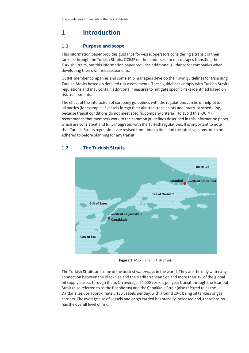# <span id="page-7-0"></span>**1 Introduction**

# **1.1 Purpose and scope**

This information paper provides guidance for vessel operators considering a transit of their tankers through the Turkish Straits. OCIMF neither endorses nor discourages transiting the Turkish Straits, but this information paper provides additional guidance for companies when developing their own risk assessments.

OCIMF member companies and some ship managers develop their own guidelines for transiting Turkish Straits based on detailed risk assessments. These guidelines comply with Turkish Straits regulations and may contain additional measures to mitigate specific risks identified based on risk assessments.

The effect of the interaction of company guidelines with the regulations can be unhelpful to all parties (for example, if vessels forego their allotted transit slots and interrupt scheduling, because transit conditions do not meet specific company criteria). To avoid this, OCIMF recommends that members work to the common guidelines described in this information paper, which are consistent and fully integrated with the Turkish regulations. It is important to note that Turkish Straits regulations are revised from time to time and the latest versions are to be adhered to before planning for any transit.



# **1.2 The Turkish Straits**

**Figure 1:** *Map of the Turkish Straits*

The Turkish Straits are some of the busiest waterways in the world. They are the only waterway connection between the Black Sea and the Mediterranean Sea and more than 3% of the global oil supply passes through them. On average, 50,000 vessels per year transit through the Istanbul Strait (also referred to as the Bosphorus) and the Çanakkale Strait (also referred to as the Dardanelles), or approximately 130 vessels per day, with around 20% being oil tankers or gas carriers. The average size of vessels and cargo carried has steadily increased and, therefore, so has the overall level of risk.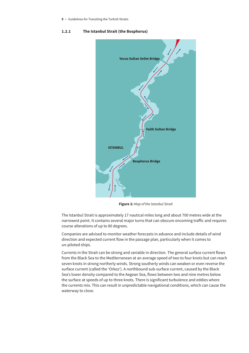#### <span id="page-8-0"></span>**1.2.1 The Istanbul Strait (the Bosphorus)**



**Figure 2:** *Map of the Istanbul Strait*

The Istanbul Strait is approximately 17 nautical miles long and about 700 metres wide at the narrowest point. It contains several major turns that can obscure oncoming traffic and requires course alterations of up to 80 degrees.

Companies are advised to monitor weather forecasts in advance and include details of wind direction and expected current flow in the passage plan, particularly when it comes to un-piloted ships.

Currents in the Strait can be strong and variable in direction. The general surface current flows from the Black Sea to the Mediterranean at an average speed of two to four knots but can reach seven knots in strong northerly winds. Strong southerly winds can weaken or even reverse the surface current (called the 'Orkoz'). A northbound sub-surface current, caused by the Black Sea's lower density compared to the Aegean Sea, flows between two and nine metres below the surface at speeds of up to three knots. There is significant turbulence and eddies where the currents mix. This can result in unpredictable navigational conditions, which can cause the waterway to close.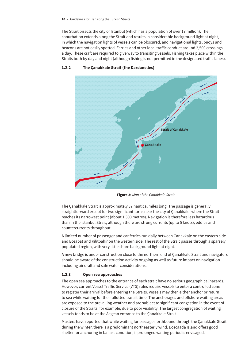<span id="page-9-0"></span>The Strait bisects the city of Istanbul (which has a population of over 17 million). The conurbation extends along the Strait and results in considerable background light at night, in which the navigation lights of vessels can be obscured, and navigational lights, buoys and beacons are not easily spotted. Ferries and other local traffic conduct around 2,500 crossings a day. These craft are required to give way to transiting vessels. Fishing takes place within the Straits both by day and night (although fishing is not permitted in the designated traffic lanes).



### **1.2.2 The Çanakkale Strait (the Dardanelles)**

**Figure 3:** *Map of the Çanakkale Strait*

The Çanakkale Strait is approximately 37 nautical miles long. The passage is generally straightforward except for two significant turns near the city of Çanakkale, where the Strait reaches its narrowest point (about 1,300 metres). Navigation is therefore less hazardous than in the Istanbul Strait, although there are strong currents (up to 5 knots), eddies and countercurrents throughout.

A limited number of passenger and car ferries run daily between Çanakkale on the eastern side and Eceabat and Kilitbahir on the western side. The rest of the Strait passes through a sparsely populated region, with very little shore background light at night.

A new bridge is under construction close to the northern end of Çanakkale Strait and navigators should be aware of the construction activity ongoing as well as future impact on navigation including air draft and safe water considerations.

#### **1.2.3 Open sea approaches**

The open sea approaches to the entrance of each strait have no serious geographical hazards. However, current Vessel Traffic Service (VTS) rules require vessels to enter a controlled zone to register their arrival before entering the Straits. Vessels may then either anchor or return to sea while waiting for their allotted transit time. The anchorages and offshore waiting areas are exposed to the prevailing weather and are subject to significant congestion in the event of closure of the Straits, for example, due to poor visibility. The largest congregation of waiting vessels tends to be at the Aegean entrance to the Çanakkale Strait.

Masters have reported that while waiting for passage northbound through the Çanakkale Strait during the winter, there is a predominant northeasterly wind. Bozcaada Island offers good shelter for anchoring in ballast condition, if prolonged waiting period is envisaged.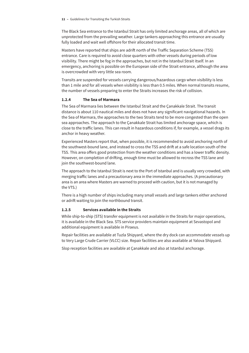<span id="page-10-0"></span>The Black Sea entrance to the Istanbul Strait has only limited anchorage areas, all of which are unprotected from the prevailing weather. Large tankers approaching this entrance are usually fully loaded and wait well offshore for their allocated transit time.

Masters have reported that ships are adrift north of the Traffic Separation Scheme (TSS) entrance. Care is required to avoid close quarters with other vessels during periods of low visibility. There might be fog in the approaches, but not in the Istanbul Strait itself. In an emergency, anchoring is possible on the European side of the Strait entrance, although the area is overcrowded with very little sea room.

Transits are suspended for vessels carrying dangerous/hazardous cargo when visibility is less than 1 mile and for all vessels when visibility is less than 0.5 miles. When normal transits resume, the number of vessels preparing to enter the Straits increases the risk of collision.

#### **1.2.4 The Sea of Marmara**

The Sea of Marmara lies between the Istanbul Strait and the Çanakkale Strait. The transit distance is about 110 nautical miles and does not have any significant navigational hazards. In the Sea of Marmara, the approaches to the two Straits tend to be more congested than the open sea approaches. The approach to the Çanakkale Strait has limited anchorage space, which is close to the traffic lanes. This can result in hazardous conditions if, for example, a vessel drags its anchor in heavy weather.

Experienced Masters report that, when possible, it is recommended to avoid anchoring north of the southwest-bound lane, and instead to cross the TSS and drift at a safe location south of the TSS. This area offers good protection from the weather conditions and has a lower traffic density. However, on completion of drifting, enough time must be allowed to recross the TSS lane and join the southwest-bound lane.

The approach to the Istanbul Strait is next to the Port of Istanbul and is usually very crowded, with merging traffic lanes and a precautionary area in the immediate approaches. (A precautionary area is an area where Masters are warned to proceed with caution, but it is not managed by the VTS.)

There is a high number of ships including many small vessels and large tankers either anchored or adrift waiting to join the northbound transit.

#### **1.2.5 Services available in the Straits**

While ship-to-ship (STS) transfer equipment is not available in the Straits for major operations, it is available in the Black Sea. STS service providers maintain equipment at Sevastopol and additional equipment is available in Piraeus.

Repair facilities are available at Tuzla Shipyard, where the dry dock can accommodate vessels up to Very Large Crude Carrier (VLCC) size. Repair facilities are also available at Yalova Shipyard.

Slop reception facilities are available at Çanakkale and also at Istanbul anchorage.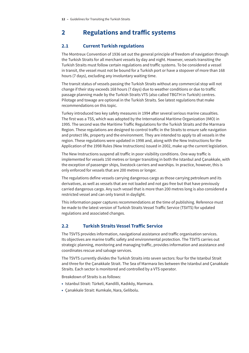# <span id="page-11-0"></span>**2 Regulations and traffic systems**

# **2.1 Current Turkish regulations**

The Montreux Convention of 1936 set out the general principle of freedom of navigation through the Turkish Straits for all merchant vessels by day and night. However, vessels transiting the Turkish Straits must follow certain regulations and traffic systems. To be considered a vessel in transit, the vessel must not be bound for a Turkish port or have a stopover of more than 168 hours (7 days), excluding any involuntary waiting time.

The transit status of vessels passing the Turkish Straits without any commercial stop will not change if their stay exceeds 168 hours (7 days) due to weather conditions or due to traffic passage planning made by the Turkish Straits VTS (also called TBGTH in Turkish) centres. Pilotage and towage are optional in the Turkish Straits. See latest regulations that make recommendations on this topic.

Turkey introduced two key safety measures in 1994 after several serious marine casualties. The first was a TSS, which was adopted by the International Maritime Organization (IMO) in 1995. The second was the Maritime Traffic Regulations for the Turkish Straits and the Marmara Region. These regulations are designed to control traffic in the Straits to ensure safe navigation and protect life, property and the environment. They are intended to apply to all vessels in the region. These regulations were updated in 1998 and, along with the New Instructions for the Application of the 1998 Rules (New Instructions) issued in 2002, make up the current legislation.

The New Instructions suspend all traffic in poor visibility conditions. One-way traffic is implemented for vessels 150 metres or longer transiting in both the Istanbul and Çanakkale, with the exception of passenger ships, livestock carriers and warships. In practice, however, this is only enforced for vessels that are 200 metres or longer.

The regulations define vessels carrying dangerous cargo as those carrying petroleum and its derivatives, as well as vessels that are not loaded and not gas-free but that have previously carried dangerous cargo. Any such vessel that is more than 200 metres long is also considered a restricted vessel and can only transit in daylight.

This information paper captures recommendations at the time of publishing. Reference must be made to the latest version of Turkish Straits Vessel Traffic Service (TSVTS) for updated regulations and associated changes.

# **2.2 Turkish Straits Vessel Traffic Service**

The TSVTS provides information, navigational assistance and traffic organisation services. Its objectives are marine traffic safety and environmental protection. The TSVTS carries out strategic planning, monitoring and managing traffic, provides information and assistance and coordinates rescue and salvage services.

The TSVTS currently divides the Turkish Straits into seven sectors: four for the Istanbul Strait and three for the Çanakkale Strait. The Sea of Marmara lies between the Istanbul and Çanakkale Straits. Each sector is monitored and controlled by a VTS operator.

Breakdown of Straits is as follows:

- Istanbul Strait: Türkeli, Kandilli, Kadıköy, Marmara.
- Çanakkale Strait: Kumkale, Nara, Gelibolu.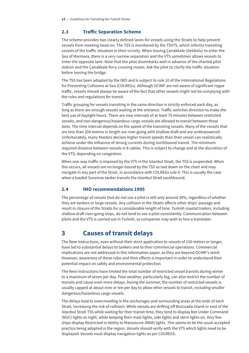### <span id="page-12-0"></span>**2.3 Traffic Separation Scheme**

The scheme provides two clearly defined lanes for vessels using the Straits to help prevent vessels from meeting head-on. The TSS is monitored by the TSVTS, which informs transiting vessels of the traffic situation in their vicinity. When leaving Çanakkale (Gelibolu) to enter the Sea of Marmara, there is a very narrow separation and the VTS sometimes allows vessels to enter the opposite lane. Note that the pilot disembarks well in advance of the charted pilot station and the Çanakkale ferry crossing routes. Ask the pilot to clarify the traffic situation before leaving the bridge.

The TSS has been adopted by the IMO and is subject to rule 10 of the International Regulations for Preventing Collisions at Sea (COLREGs). Although OCIMF are not aware of significant rogue traffic, vessels should always be aware of the fact that other vessels might not be complying with the rules and regulations for transit.

Traffic grouping for vessels transiting in the same direction is strictly enforced each day, as long as there are enough vessels waiting at the entrance. Traffic switches direction to make the best use of daylight hours. There are now intervals of at least 75 minutes between restricted vessels, and non-dangerous/hazardous cargo vessels are allowed to transit between these slots. The time interval depends on the speed of the transiting vessels. Many of the vessels that are less than 200 metres in length are river going with shallow draft and are underpowered. Unfortunately, many Masters declare higher transit speeds than their vessel can realistically achieve under the influence of strong currents during northbound transit. The minimum required distance between vessels is 8 cables. This is subject to change and at the discretion of the VTS, depending on congestion.

When one-way traffic is imposed by the VTS in the Istanbul Strait, the TSS is suspended. When this occurs, all vessels are no longer bound by the TSS as laid down on the chart and may navigate in any part of the Strait, in accordance with COLREGs rule 9. This is usually the case when a loaded Suezmax tanker transits the Istanbul Strait southbound.

# **2.4 IMO recommendations 1995**

The percentage of vessels that do not use a pilot is still only around 50%, regardless of whether they are tankers or large vessels. Any collision in the Straits affects other ships' passage and result in closure of the Straits for a considerable length of time. Turkish coastal traders, including shallow draft river-going ships, do not tend to use a pilot consistently. Communication between pilots and the VTS is carried out in Turkish, so companies may wish to hire a translator.

# **3 Causes of transit delays**

The New Instructions, even without their strict application to vessels of 150 metres or longer, have led to substantial delays to tankers and to their commercial operations. Commercial implications are not addressed in this information paper, as they are beyond OCIMF's remit. However, awareness of these rules and their effects is important in order to understand their potential impact on safety and environmental protection.

The New Instructions have limited the total number of restricted vessel transits during winter to a maximum of seven per day. Poor weather, particularly fog, can also restrict the number of transits and cause even more delays. During the summer, the number of restricted vessels is usually capped at about nine or ten per day to allow other vessels to transit, including smaller dangerous/hazardous cargo vessels.

The delays lead to overcrowding in the anchorages and surrounding areas at the ends of each Strait, increasing the risk of collision. While vessels are drifting off Bozcaada Island or east of the Istanbul Strait TSS while waiting for their transit time, they tend to display Not Under Command (NUC) lights at night, while keeping their mast lights, side lights and stern lights on. Very few ships display Restricted in Ability to Manoeuvre (RAM) lights. This seems to be the usual accepted practice being adopted in the region. Vessels should verify with the VTS which lights need to be displayed. Vessels must display navigation lights as per COLREGS.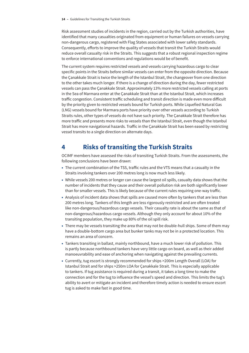<span id="page-13-0"></span>Risk assessment studies of incidents in the region, carried out by the Turkish authorities, have identified that many casualties originated from equipment or human failures on vessels carrying non-dangerous cargo, registered with Flag States associated with lower safety standards. Consequently, efforts to improve the quality of vessels that transit the Turkish Straits would reduce overall casualty risk in the Straits. This suggests that a robust regional inspection regime to enforce international conventions and regulations would be of benefit.

The current system requires restricted vessels and vessels carrying hazardous cargo to clear specific points in the Straits before similar vessels can enter from the opposite direction. Because the Çanakkale Strait is twice the length of the Istanbul Strait, the changeover from one direction to the other takes much longer. If there is a change of direction during the day, fewer restricted vessels can pass the Çanakkale Strait. Approximately 13% more restricted vessels calling at ports in the Sea of Marmara enter at the Çanakkale Strait than at the Istanbul Strait, which increases traffic congestion. Consistent traffic scheduling and transit direction is made even more difficult by the priority given to restricted vessels bound for Turkish ports. While Liquefied Natural Gas (LNG) vessels bound for Marmara ports have priority over other vessels according to Turkish Straits rules, other types of vessels do not have such priority. The Çanakkale Strait therefore has more traffic and presents more risks to vessels than the Istanbul Strait, even though the Istanbul Strait has more navigational hazards. Traffic in the Çanakkale Strait has been eased by restricting vessel transits to a single direction on alternate days.

# **4 Risks of transiting the Turkish Straits**

OCIMF members have assessed the risks of transiting Turkish Straits. From the assessments, the following conclusions have been drawn:

- The current combination of the TSS, traffic rules and the VTS means that a casualty in the Straits involving tankers over 200 metres long is now much less likely.
- While vessels 200 metres or longer can cause the largest oil spills, casualty data shows that the number of incidents that they cause and their overall pollution risk are both significantly lower than for smaller vessels. This is likely because of the current rules requiring one-way traffic.
- Analysis of incident data shows that spills are caused more often by tankers that are less than 200 metres long. Tankers of this length are less rigorously restricted and are often treated like non-dangerous/hazardous cargo vessels. Their casualty rate is about the same as that of non-dangerous/hazardous cargo vessels. Although they only account for about 10% of the transiting population, they make up 80% of the oil spill risk.
- There may be vessels transiting the area that may not be double-hull ships. Some of them may have a double-bottom cargo area but bunker tanks may not be in a protected location. This remains an area of concern.
- Tankers transiting in ballast, mainly northbound, have a much lower risk of pollution. This is partly because northbound tankers have very little cargo on board, as well as their added manoeuvrability and ease of anchoring when navigating against the prevailing currents.
- Currently, tug escort is strongly recommended for ships >200m Length Overall (LOA) for Istanbul Strait and for ships >250m LOA for Çanakkale Strait. This is especially applicable to tankers. If tug assistance is required during a transit, it takes a long time to make the connection and for the tug to influence the vessel's speed and direction. This limits the tug's ability to avert or mitigate an incident and therefore timely action is needed to ensure escort tug is asked to make fast in good time.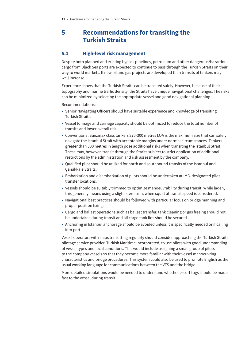# <span id="page-14-0"></span>**5 Recommendations for transiting the Turkish Straits**

# **5.1 High-level risk management**

Despite both planned and existing bypass pipelines, petroleum and other dangerous/hazardous cargo from Black Sea ports are expected to continue to pass through the Turkish Straits on their way to world markets. If new oil and gas projects are developed then transits of tankers may well increase.

Experience shows that the Turkish Straits can be transited safely. However, because of their topography and marine traffic density, the Straits have unique navigational challenges. The risks can be minimized by selecting the appropriate vessel and good navigational planning.

Recommendations:

- Senior Navigating Officers should have suitable experience and knowledge of transiting Turkish Straits.
- Vessel tonnage and carriage capacity should be optimized to reduce the total number of transits and lower overall risk.
- Conventional Suezmax class tankers 275-300 metres LOA is the maximum size that can safely navigate the Istanbul Strait with acceptable margins under normal circumstances. Tankers greater than 300 metres in length pose additional risks when transiting the Istanbul Strait. These may, however, transit through the Straits subject to strict application of additional restrictions by the administration and risk assessment by the company.
- Qualified pilot should be utilized for north and southbound transits of the Istanbul and Çanakkale Straits.
- Embarkation and disembarkation of pilots should be undertaken at IMO-designated pilot transfer locations.
- Vessels should be suitably trimmed to optimize manoeuvrability during transit. While laden, this generally means using a slight stern trim, when squat at transit speed is considered.
- Navigational best practices should be followed with particular focus on bridge manning and proper position fixing.
- Cargo and ballast operations such as ballast transfer, tank cleaning or gas freeing should not be undertaken during transit and all cargo tank lids should be secured.
- Anchoring in Istanbul anchorage should be avoided unless it is specifically needed or if calling into port.

Vessel operators with ships transitting regularly should consider approaching the Turkish Straits pilotage service provider, Turkish Maritime Incorporated, to use pilots with good understanding of vessel types and local conditions. This would include assigning a small group of pilots to the company vessels so that they become more familiar with their vessel manoeuvring characteristics and bridge procedures. This system could also be used to promote English as the usual working language for communications between the VTS and the bridge.

More detailed simulations would be needed to understand whether escort tugs should be made fast to the vessel during transit.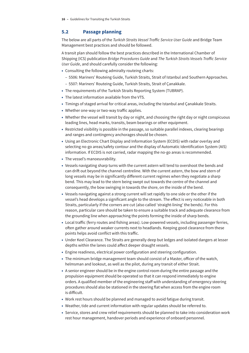# <span id="page-15-0"></span>**5.2 Passage planning**

The below are all parts of the *Turkish Straits Vessel Traffic Service User Guide* and Bridge Team Management best practices and should be followed.

A transit plan should follow the best practices described in the International Chamber of Shipping (ICS) publication *Bridge Procedures Guide* and *The Turkish Straits Vessels Traffic Service User Guide*, and should carefully consider the following:

- Consulting the following admiralty routeing charts:
	- 5506: Mariners' Routeing Guide, Turkish Straits, Strait of Istanbul and Southern Approaches.
	- 5507: Mariners' Routeing Guide, Turkish Straits, Strait of Çanakkale.
- The requirements of the Turkish Straits Reporting System (TUBRAP).
- The latest information available from the VTS.
- Timings of staged arrival for critical areas, including the Istanbul and Çanakkale Straits.
- Whether one-way or two-way traffic applies.
- Whether the vessel will transit by day or night, and choosing the right day or night conspicuous leading lines, head marks, transits, beam bearings or other equipment.
- Restricted visibility is possible in the passage, so suitable parallel indexes, clearing bearings and ranges and contingency anchorages should be chosen.
- Using an Electronic Chart Display and Information System (ECDIS) with radar overlay and selecting no-go areas/safety contour and the display of Automatic Identification System (AIS) information. If ECDIS is not carried, radar mapping the no-go areas is recommended.
- The vessel's manoeuvrability.
- Vessels navigating sharp turns with the current astern will tend to overshoot the bends and can drift out beyond the channel centreline. With the current astern, the bow and stern of long vessels may be in significantly different current regimes when they negotiate a sharp bend. This may lead to the stern being swept out towards the centre of the channel and consequently, the bow swinging in towards the shore, on the inside of the bend.
- Vessels navigating against a strong current will set rapidly to one side or the other if the vessel's head develops a significant angle to the stream. The effect is very noticeable in both Straits, particularly if the corners are cut (also called 'straight-lining' the bends). For this reason, particular care should be taken to ensure a suitable track and adequate clearance from the grounding line when approaching the points forming the inside of sharp bends.
- Local traffic (ferry routes and fishing areas). Low-powered vessels, including passenger ferries, often gather around weaker currents next to headlands. Keeping good clearance from these points helps avoid conflict with this traffic.
- Under Keel Clearance. The Straits are generally deep but ledges and isolated dangers at lesser depths within the lanes could affect deeper draught vessels.
- Engine readiness, electrical power configuration and steering configuration.
- The minimum bridge management team should consist of a Master, officer of the watch, helmsman and lookout, as well as the pilot, during any transit of either Strait.
- A senior engineer should be in the engine control room during the entire passage and the propulsion equipment should be operated so that it can respond immediately to engine orders. A qualified member of the engineering staff with understanding of emergency steering procedures should also be stationed in the steering flat when access from the engine room is difficult.
- Work rest hours should be planned and managed to avoid fatigue during transit.
- Weather, tide and current information with regular updates should be referred to.
- Service, stores and crew relief requirements should be planned to take into consideration work rest hour management, handover periods and experience of onboard personnel.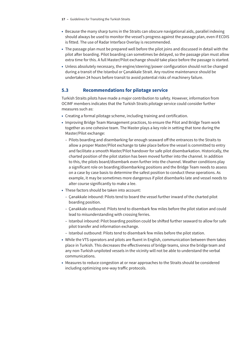- <span id="page-16-0"></span>• Because the many sharp turns in the Straits can obscure navigational aids, parallel indexing should always be used to monitor the vessel's progress against the passage plan, even if ECDIS is fitted. The use of Radar Interface Overlay is recommended.
- The passage plan must be prepared well before the pilot joins and discussed in detail with the pilot after boarding. Pilot boarding can sometimes be delayed, so the passage plan must allow extra time for this. A full Master/Pilot exchange should take place before the passage is started.
- Unless absolutely necessary, the engine/steering/power configuration should not be changed during a transit of the Istanbul or Çanakkale Strait. Any routine maintenance should be undertaken 24 hours before transit to avoid potential risks of machinery failure.

# **5.3 Recommendations for pilotage service**

Turkish Straits pilots have made a major contribution to safety. However, information from OCIMF members indicates that the Turkish Straits pilotage service could consider further measures such as:

- Creating a formal pilotage scheme, including training and certification.
- Improving Bridge Team Management practices, to ensure the Pilot and Bridge Team work together as one cohesive team. The Master plays a key role in setting that tone during the Master/Pilot exchange:
	- Pilots boarding and disembarking far enough seaward off the entrances to the Straits to allow a proper Master/Pilot exchange to take place before the vessel is committed to entry and facilitate a smooth Master/Pilot handover for safe pilot disembarkation. Historically, the charted position of the pilot station has been moved further into the channel. In addition to this, the pilots board/disembark even further into the channel. Weather conditions play a significant role on boarding/disembarking positions and the Bridge Team needs to assess on a case by case basis to determine the safest position to conduct these operations. As example, it may be sometimes more dangerous if pilot disembarks late and vessel needs to alter course significantly to make a lee.
- These factors should be taken into account:
	- Çanakkale inbound: Pilots tend to board the vessel further inward of the charted pilot boarding position.
	- Çanakkale outbound: Pilots tend to disembark few miles before the pilot station and could lead to misunderstanding with crossing ferries.
	- Istanbul inbound: Pilot boarding position could be shifted further seaward to allow for safe pilot transfer and information exchange.
	- Istanbul outbound: Pilots tend to disembark few miles before the pilot station.
- While the VTS operators and pilots are fluent in English, communication between them takes place in Turkish. This decreases the effectiveness of bridge teams, since the bridge team and any non-Turkish unpiloted vessels in the vicinity will not be able to understand the verbal communications.
- Measures to reduce congestion at or near approaches to the Straits should be considered including optimizing one-way traffic protocols.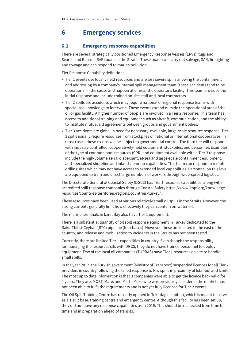# <span id="page-17-0"></span>**6 Emergency services**

### **6.1 Emergency response capabilities**

There are several strategically positioned Emergency Response Vessels (ERVs), tugs and Search and Rescue (SAR) boats in the Straits. These boats can carry out salvage, SAR, firefighting and towage and can respond to marine pollution.

Tier Response Capability definitions:

- Tier 1 events use locally held resources and are less severe spills allowing the containment and addressing by a company's internal spill management team. These accidents tend to be operational in the cause and happen at or near the operator's facility. This team provides the initial response and include trained on-site staff and local contractors.
- Tier 2 spills are accidents which may require national or regional response teams with specialized knowledge to intervene. These events extend outside the operational area of the oil or gas facility. A higher number of people are involved in a Tier 2 response. This team has access to additional training and equipment such as aircraft, communication, and the ability to institute mutual aid agreements between groups and government bodies.
- Tier 3 accidents are global in need for necessary, available, large-scale resource response. Tier 3 spills usually require resources from stockpiles of national or international cooperatives. In most cases, these co-ops will be subject to governmental control. The third tier will respond with industry-controlled, cooperatively-held equipment, stockpiles, and personnel. Examples of the type of common pool resources (CPR) and equipment available with a Tier 3 response include the high-volume aerial dispersant, at-sea and large-scale containment equipment, and specialized shoreline and inland clean-up capabilities. This team can respond to remote drilling sites which may not have access to extended local capabilities. Personnel on this level are equipped to train and direct large numbers of workers through wide-spread logistics.

The Directorate General of Coastal Safety (DGCS) has Tier 1 response capabilities, along with accredited spill response companies through Coastal Safety [https://www.itopf.org/knowledge](https://www.itopf.org/knowledge-resources/countries-territories-regions/countries/turkey/)[resources/countries-territories-regions/countries/turkey/.](https://www.itopf.org/knowledge-resources/countries-territories-regions/countries/turkey/)

These resources have been used at various relatively small oil spills in the Straits. However, the strong currents generally limit how effectively they can contain on-water oil.

The marine terminals in Izmit Bay also have Tier 1 equipment.

There is a substantial quantity of oil spill response equipment in Turkey dedicated to the Baku-Tbilisi-Ceyhan (BTC) pipeline (four bases). However, these are located in the east of the country, and release and mobilization to incidents in the Straits has not been tested.

Currently, there are limited Tier 1 capabilities in country. Even though the responsibility for managing the resources sits with DGCS, they do not have trained personnel to deploy equipment. Few of the local oil companies (TUPRAS) have Tier 1 resources on site to handle small spills.

In the year 2017, the Turkish government (Ministry of Transport) suspended licences for all Tier 2 providers in country following the failed response to few spills in proximity of Istanbul and Izmit. The most up to date information is that 3 companies were able to get the licence back valid for 4 years. They are: MOST, Mare, and Marti. Meke who was previously a leader in the market, has not been able to fulfil the requirements and is not yet fully licenced for Tier 2 events.

The Oil Spill Training Centre has recently opened in Tekirdag (Istanbul), which is meant to serve as a Tier 2 base, training centre and emergency centre. Although this facility has been set up, they did not have any response capabilities as in 2019. This should be rechecked from time to time and in preparation ahead of transits.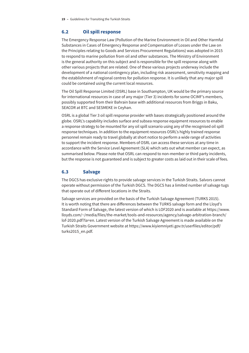### <span id="page-18-0"></span>**6.2 Oil spill response**

The Emergency Response Law (Pollution of the Marine Environment in Oil and Other Harmful Substances in Cases of Emergency Response and Compensation of Losses under the Law on the Principles relating to Goods and Services Procurement Regulations) was adopted in 2015 to respond to marine pollution from oil and other substances. The Ministry of Environment is the general authority on this subject and is responsible for the spill response along with other various projects that are related. One of these various projects underway include the development of a national contingency plan, including risk assessment, sensitivity mapping and the establishment of regional centres for pollution response. It is unlikely that any major spill could be contained using the current local resources.

The Oil Spill Response Limited (OSRL) base in Southampton, UK would be the primary source for international resources in case of any major (Tier 3) incidents for some OCIMF's members, possibly supported from their Bahrain base with additional resources from Briggs in Baku, SEACOR at BTC and SESMEKE in Ceyhan.

OSRL is a global Tier 3 oil spill response provider with bases strategically positioned around the globe. OSRL's capability includes surface and subsea response equipment resources to enable a response strategy to be mounted for any oil spill scenario using any of the recognised oil spill response techniques. In addition to the equipment resources OSRL's highly trained response personnel remain ready to travel globally at short notice to perform a wide range of activities to support the incident response. Members of OSRL can access these services at any time in accordance with the Service Level Agreement (SLA) which sets out what member can expect, as summarised below. Please note that OSRL can respond to non-member or third party incidents, but the response is not guaranteed and is subject to greater costs as laid out in their scale of fees.

# **6.3 Salvage**

The DGCS has exclusive rights to provide salvage services in the Turkish Straits. Salvors cannot operate without permission of the Turkish DGCS. The DGCS has a limited number of salvage tugs that operate out of different locations in the Straits.

Salvage services are provided on the basis of the Turkish Salvage Agreement (TURKS 2015). It is worth noting that there are differences between the TURKS salvage form and the Lloyd's Standard Form of Salvage, the latest version of which is LOF2020 and is available at [https://www.](https://www.lloyds.com/~/media/files/the-market/tools-and-resources/agency/salvage-arbitration-branch/lof-2020.pdf?la=en) [lloyds.com/~/media/files/the-market/tools-and-resources/agency/salvage-arbitration-branch/](https://www.lloyds.com/~/media/files/the-market/tools-and-resources/agency/salvage-arbitration-branch/lof-2020.pdf?la=en) [lof-2020.pdf?la=en](https://www.lloyds.com/~/media/files/the-market/tools-and-resources/agency/salvage-arbitration-branch/lof-2020.pdf?la=en). Latest version of the Turkish Salvage Agreement is made available on the Turkish Straits Government website at [https://www.kiyiemniyeti.gov.tr/userfiles/editor/pdf/](https://www.kiyiemniyeti.gov.tr/userfiles/editor/pdf/turks2015_en.pdf) [turks2015\\_en.pdf](https://www.kiyiemniyeti.gov.tr/userfiles/editor/pdf/turks2015_en.pdf).